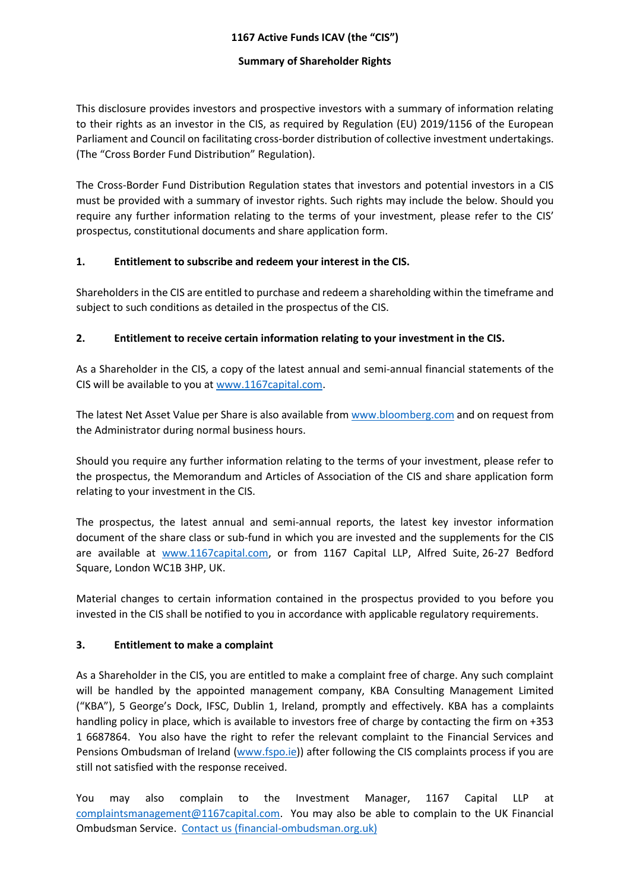#### **1167 Active Funds ICAV (the "CIS")**

#### **Summary of Shareholder Rights**

This disclosure provides investors and prospective investors with a summary of information relating to their rights as an investor in the CIS, as required by Regulation (EU) 2019/1156 of the European Parliament and Council on facilitating cross-border distribution of collective investment undertakings. (The "Cross Border Fund Distribution" Regulation).

The Cross-Border Fund Distribution Regulation states that investors and potential investors in a CIS must be provided with a summary of investor rights. Such rights may include the below. Should you require any further information relating to the terms of your investment, please refer to the CIS' prospectus, constitutional documents and share application form.

#### **1. Entitlement to subscribe and redeem your interest in the CIS.**

Shareholders in the CIS are entitled to purchase and redeem a shareholding within the timeframe and subject to such conditions as detailed in the prospectus of the CIS.

# **2. Entitlement to receive certain information relating to your investment in the CIS.**

As a Shareholder in the CIS, a copy of the latest annual and semi-annual financial statements of the CIS will be available to you at [www.1167capital.com.](http://www.1167capital.com/)

The latest Net Asset Value per Share is also available from [www.bloomberg.com](http://www.bloomberg.com/) and on request from the Administrator during normal business hours.

Should you require any further information relating to the terms of your investment, please refer to the prospectus, the Memorandum and Articles of Association of the CIS and share application form relating to your investment in the CIS.

The prospectus, the latest annual and semi-annual reports, the latest key investor information document of the share class or sub-fund in which you are invested and the supplements for the CIS are available at [www.1167capital.com,](https://www.1167capital.com/) or from 1167 Capital LLP, Alfred Suite, 26-27 Bedford Square, London WC1B 3HP, UK.

Material changes to certain information contained in the prospectus provided to you before you invested in the CIS shall be notified to you in accordance with applicable regulatory requirements.

# **3. Entitlement to make a complaint**

As a Shareholder in the CIS, you are entitled to make a complaint free of charge. Any such complaint will be handled by the appointed management company, KBA Consulting Management Limited ("KBA"), 5 George's Dock, IFSC, Dublin 1, Ireland, promptly and effectively. KBA has a complaints handling policy in place, which is available to investors free of charge by contacting the firm on +353 1 6687864. You also have the right to refer the relevant complaint to the Financial Services and Pensions Ombudsman of Ireland [\(www.fspo.ie\)](http://www.fspo.ie/)) after following the CIS complaints process if you are still not satisfied with the response received.

You may also complain to the Investment Manager, 1167 Capital LLP at [complaintsmanagement@1167capital.com.](mailto:complaintsmanagement@1167capital.com) You may also be able to complain to the UK Financial Ombudsman Service. [Contact us \(financial-ombudsman.org.uk\)](https://www.financial-ombudsman.org.uk/contact-us)